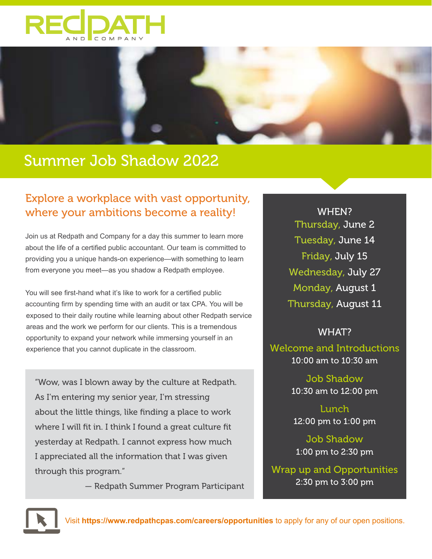



# Summer Job Shadow 2022

## Explore a workplace with vast opportunity, where your ambitions become a reality!

Join us at Redpath and Company for a day this summer to learn more about the life of a certified public accountant. Our team is committed to providing you a unique hands-on experience—with something to learn from everyone you meet—as you shadow a Redpath employee.

You will see first-hand what it's like to work for a certified public accounting firm by spending time with an audit or tax CPA. You will be exposed to their daily routine while learning about other Redpath service areas and the work we perform for our clients. This is a tremendous opportunity to expand your network while immersing yourself in an experience that you cannot duplicate in the classroom.

"Wow, was I blown away by the culture at Redpath. As I'm entering my senior year, I'm stressing about the little things, like finding a place to work where I will fit in. I think I found a great culture fit yesterday at Redpath. I cannot express how much I appreciated all the information that I was given through this program."

— Redpath Summer Program Participant

WHEN? Thursday, June 2 Tuesday, June 14 Friday, July 15 Wednesday, July 27 Monday, August 1 Thursday, August 11

#### WHAT?

Welcome and Introductions 10:00 am to 10:30 am

> Job Shadow 10:30 am to 12:00 pm

Lunch 12:00 pm to 1:00 pm

Job Shadow 1:00 pm to 2:30 pm

Wrap up and Opportunities 2:30 pm to 3:00 pm